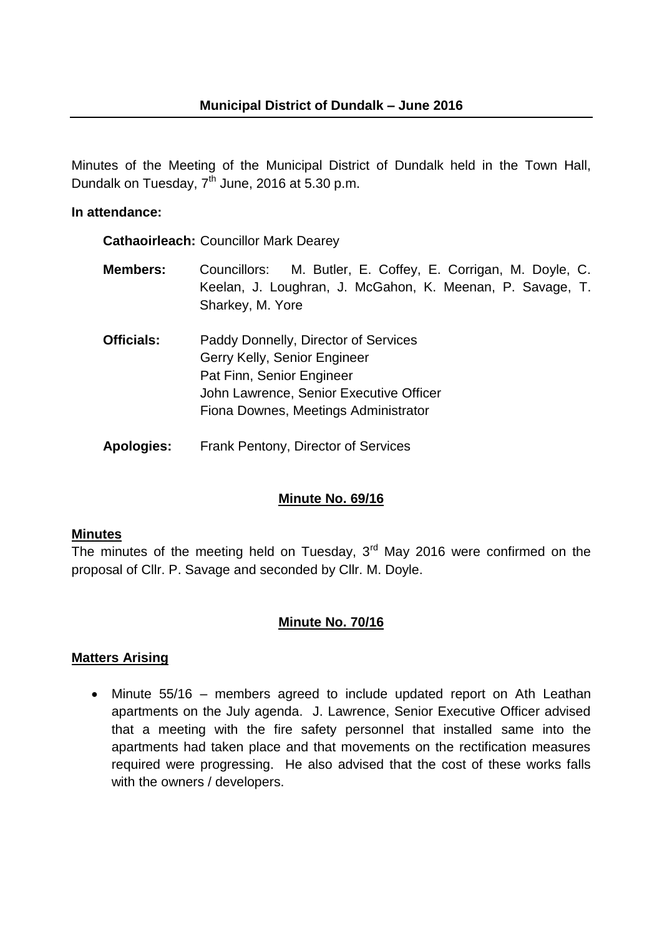Minutes of the Meeting of the Municipal District of Dundalk held in the Town Hall, Dundalk on Tuesday,  $7<sup>th</sup>$  June, 2016 at 5.30 p.m.

#### **In attendance:**

**Cathaoirleach:** Councillor Mark Dearey

- **Members:** Councillors: M. Butler, E. Coffey, E. Corrigan, M. Doyle, C. Keelan, J. Loughran, J. McGahon, K. Meenan, P. Savage, T. Sharkey, M. Yore
- **Officials:** Paddy Donnelly, Director of Services Gerry Kelly, Senior Engineer Pat Finn, Senior Engineer John Lawrence, Senior Executive Officer Fiona Downes, Meetings Administrator
- **Apologies:** Frank Pentony, Director of Services

### **Minute No. 69/16**

#### **Minutes**

The minutes of the meeting held on Tuesday,  $3<sup>rd</sup>$  May 2016 were confirmed on the proposal of Cllr. P. Savage and seconded by Cllr. M. Doyle.

### **Minute No. 70/16**

### **Matters Arising**

• Minute 55/16 – members agreed to include updated report on Ath Leathan apartments on the July agenda. J. Lawrence, Senior Executive Officer advised that a meeting with the fire safety personnel that installed same into the apartments had taken place and that movements on the rectification measures required were progressing. He also advised that the cost of these works falls with the owners / developers.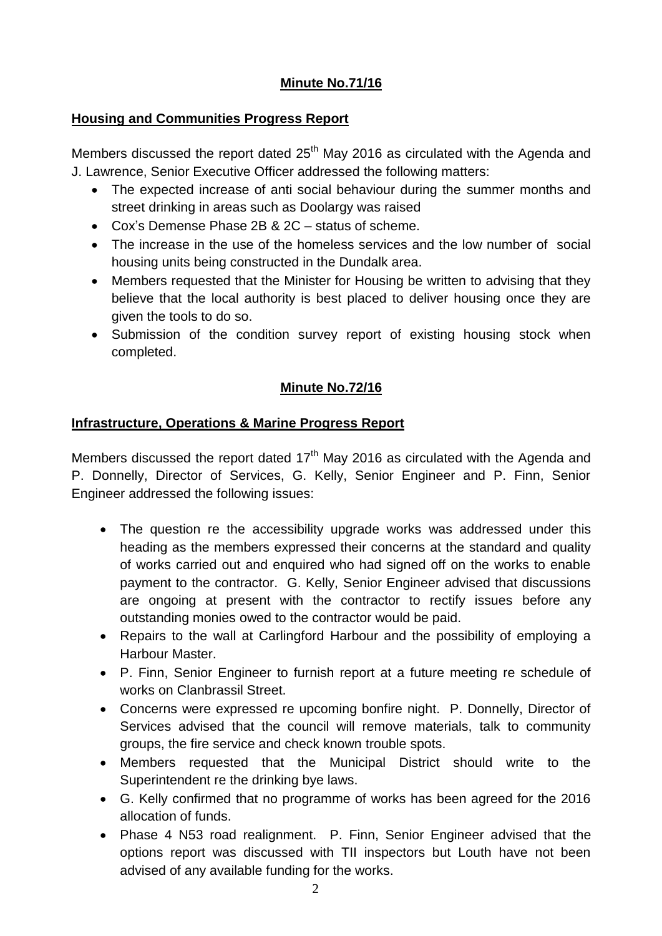# **Minute No.71/16**

### **Housing and Communities Progress Report**

Members discussed the report dated  $25<sup>th</sup>$  May 2016 as circulated with the Agenda and J. Lawrence, Senior Executive Officer addressed the following matters:

- The expected increase of anti social behaviour during the summer months and street drinking in areas such as Doolargy was raised
- Cox's Demense Phase 2B & 2C status of scheme.
- The increase in the use of the homeless services and the low number of social housing units being constructed in the Dundalk area.
- Members requested that the Minister for Housing be written to advising that they believe that the local authority is best placed to deliver housing once they are given the tools to do so.
- Submission of the condition survey report of existing housing stock when completed.

# **Minute No.72/16**

# **Infrastructure, Operations & Marine Progress Report**

Members discussed the report dated  $17<sup>th</sup>$  May 2016 as circulated with the Agenda and P. Donnelly, Director of Services, G. Kelly, Senior Engineer and P. Finn, Senior Engineer addressed the following issues:

- The question re the accessibility upgrade works was addressed under this heading as the members expressed their concerns at the standard and quality of works carried out and enquired who had signed off on the works to enable payment to the contractor. G. Kelly, Senior Engineer advised that discussions are ongoing at present with the contractor to rectify issues before any outstanding monies owed to the contractor would be paid.
- Repairs to the wall at Carlingford Harbour and the possibility of employing a Harbour Master.
- P. Finn, Senior Engineer to furnish report at a future meeting re schedule of works on Clanbrassil Street.
- Concerns were expressed re upcoming bonfire night. P. Donnelly, Director of Services advised that the council will remove materials, talk to community groups, the fire service and check known trouble spots.
- Members requested that the Municipal District should write to the Superintendent re the drinking bye laws.
- G. Kelly confirmed that no programme of works has been agreed for the 2016 allocation of funds.
- Phase 4 N53 road realignment. P. Finn, Senior Engineer advised that the options report was discussed with TII inspectors but Louth have not been advised of any available funding for the works.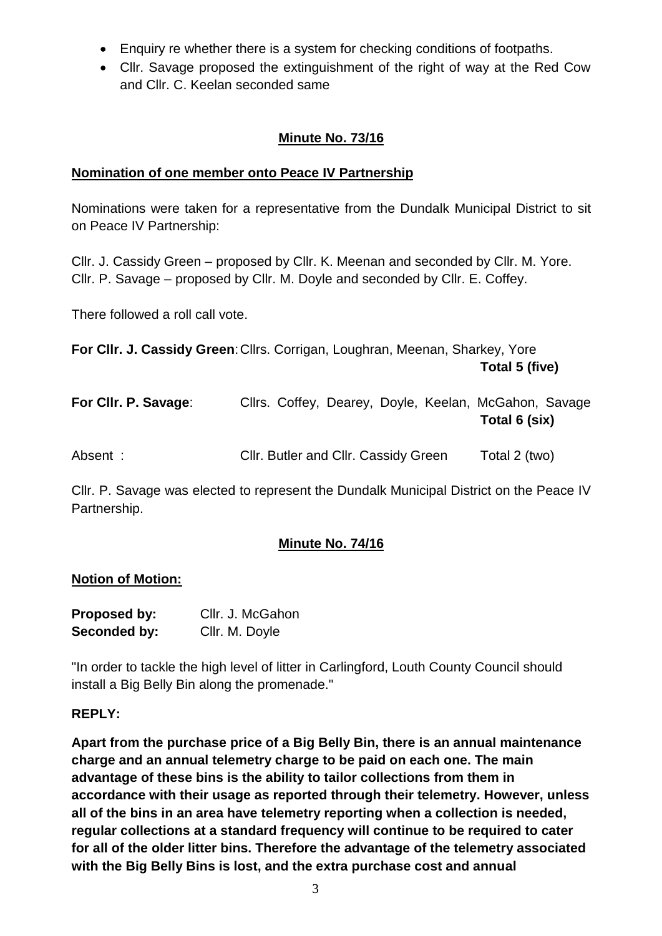- Enquiry re whether there is a system for checking conditions of footpaths.
- Cllr. Savage proposed the extinguishment of the right of way at the Red Cow and Cllr. C. Keelan seconded same

## **Minute No. 73/16**

### **Nomination of one member onto Peace IV Partnership**

Nominations were taken for a representative from the Dundalk Municipal District to sit on Peace IV Partnership:

Cllr. J. Cassidy Green – proposed by Cllr. K. Meenan and seconded by Cllr. M. Yore. Cllr. P. Savage – proposed by Cllr. M. Doyle and seconded by Cllr. E. Coffey.

There followed a roll call vote.

**For Cllr. J. Cassidy Green: Cllrs. Corrigan, Loughran, Meenan, Sharkey, Yore Total 5 (five)**

| For Cllr. P. Savage: |  |  | Cllrs. Coffey, Dearey, Doyle, Keelan, McGahon, Savage |  |
|----------------------|--|--|-------------------------------------------------------|--|
|                      |  |  | Total 6 (six)                                         |  |
|                      |  |  |                                                       |  |

| Absent: | Cllr. Butler and Cllr. Cassidy Green | Total 2 (two) |
|---------|--------------------------------------|---------------|
|---------|--------------------------------------|---------------|

Cllr. P. Savage was elected to represent the Dundalk Municipal District on the Peace IV Partnership.

# **Minute No. 74/16**

### **Notion of Motion:**

| <b>Proposed by:</b> | Cllr. J. McGahon |
|---------------------|------------------|
| Seconded by:        | Cllr. M. Doyle   |

"In order to tackle the high level of litter in Carlingford, Louth County Council should install a Big Belly Bin along the promenade."

#### **REPLY:**

**Apart from the purchase price of a Big Belly Bin, there is an annual maintenance charge and an annual telemetry charge to be paid on each one. The main advantage of these bins is the ability to tailor collections from them in accordance with their usage as reported through their telemetry. However, unless all of the bins in an area have telemetry reporting when a collection is needed, regular collections at a standard frequency will continue to be required to cater for all of the older litter bins. Therefore the advantage of the telemetry associated with the Big Belly Bins is lost, and the extra purchase cost and annual**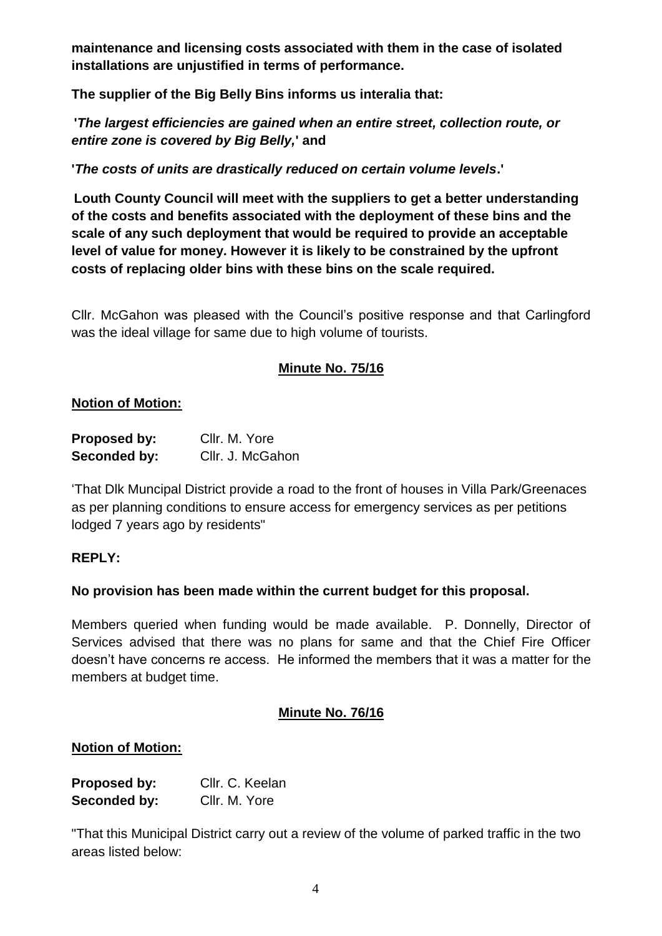**maintenance and licensing costs associated with them in the case of isolated installations are unjustified in terms of performance.** 

**The supplier of the Big Belly Bins informs us interalia that:**

**'***The largest efficiencies are gained when an entire street, collection route, or entire zone is covered by Big Belly,***' and**

**'***The costs of units are drastically reduced on certain volume levels***.'**

**Louth County Council will meet with the suppliers to get a better understanding of the costs and benefits associated with the deployment of these bins and the scale of any such deployment that would be required to provide an acceptable level of value for money. However it is likely to be constrained by the upfront costs of replacing older bins with these bins on the scale required.** 

Cllr. McGahon was pleased with the Council's positive response and that Carlingford was the ideal village for same due to high volume of tourists.

# **Minute No. 75/16**

### **Notion of Motion:**

| Proposed by: | Cllr. M. Yore    |
|--------------|------------------|
| Seconded by: | Cllr. J. McGahon |

'That Dlk Muncipal District provide a road to the front of houses in Villa Park/Greenaces as per planning conditions to ensure access for emergency services as per petitions lodged 7 years ago by residents"

### **REPLY:**

### **No provision has been made within the current budget for this proposal.**

Members queried when funding would be made available. P. Donnelly, Director of Services advised that there was no plans for same and that the Chief Fire Officer doesn't have concerns re access. He informed the members that it was a matter for the members at budget time.

### **Minute No. 76/16**

### **Notion of Motion:**

| Proposed by:        | Cllr. C. Keelan |
|---------------------|-----------------|
| <b>Seconded by:</b> | Cllr. M. Yore   |

"That this Municipal District carry out a review of the volume of parked traffic in the two areas listed below: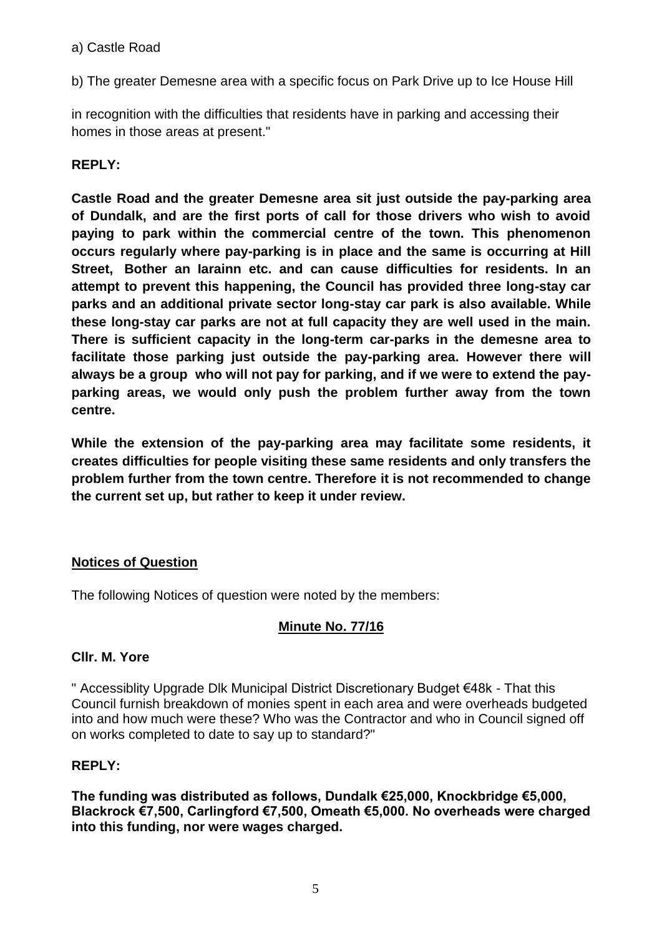#### a) Castle Road

b) The greater Demesne area with a specific focus on Park Drive up to Ice House Hill

in recognition with the difficulties that residents have in parking and accessing their homes in those areas at present."

## **REPLY:**

**Castle Road and the greater Demesne area sit just outside the pay-parking area of Dundalk, and are the first ports of call for those drivers who wish to avoid paying to park within the commercial centre of the town. This phenomenon occurs regularly where pay-parking is in place and the same is occurring at Hill Street, Bother an Iarainn etc. and can cause difficulties for residents. In an attempt to prevent this happening, the Council has provided three long-stay car parks and an additional private sector long-stay car park is also available. While these long-stay car parks are not at full capacity they are well used in the main. There is sufficient capacity in the long-term car-parks in the demesne area to facilitate those parking just outside the pay-parking area. However there will always be a group who will not pay for parking, and if we were to extend the payparking areas, we would only push the problem further away from the town centre.** 

**While the extension of the pay-parking area may facilitate some residents, it creates difficulties for people visiting these same residents and only transfers the problem further from the town centre. Therefore it is not recommended to change the current set up, but rather to keep it under review.**

### **Notices of Question**

The following Notices of question were noted by the members:

### **Minute No. 77/16**

### **Cllr. M. Yore**

" Accessiblity Upgrade Dlk Municipal District Discretionary Budget €48k - That this Council furnish breakdown of monies spent in each area and were overheads budgeted into and how much were these? Who was the Contractor and who in Council signed off on works completed to date to say up to standard?"

### **REPLY:**

**The funding was distributed as follows, Dundalk €25,000, Knockbridge €5,000, Blackrock €7,500, Carlingford €7,500, Omeath €5,000. No overheads were charged into this funding, nor were wages charged.**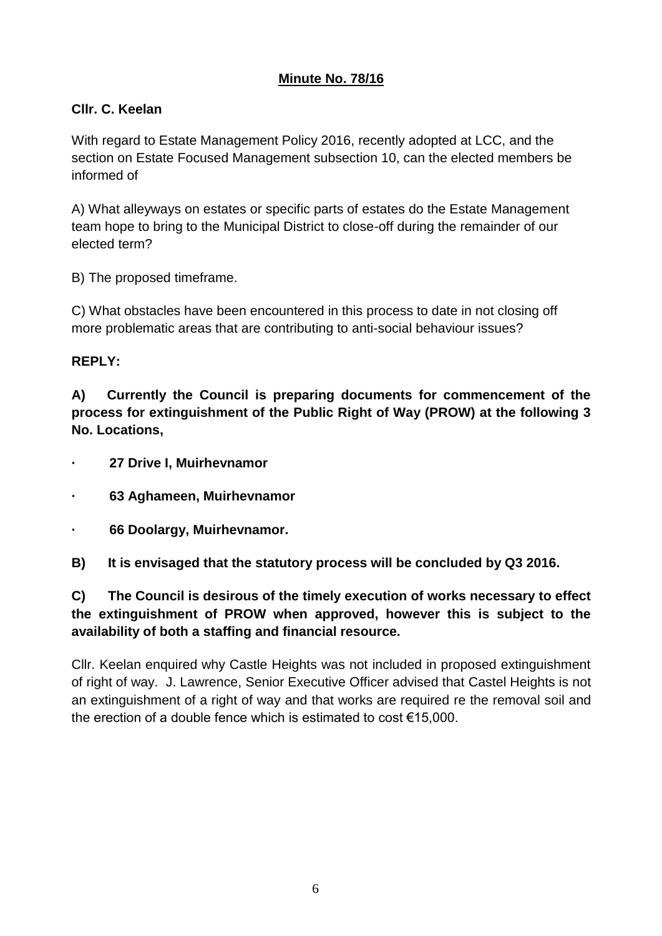## **Minute No. 78/16**

## **Cllr. C. Keelan**

With regard to Estate Management Policy 2016, recently adopted at LCC, and the section on Estate Focused Management subsection 10, can the elected members be informed of

A) What alleyways on estates or specific parts of estates do the Estate Management team hope to bring to the Municipal District to close-off during the remainder of our elected term?

B) The proposed timeframe.

C) What obstacles have been encountered in this process to date in not closing off more problematic areas that are contributing to anti-social behaviour issues?

#### **REPLY:**

**A) Currently the Council is preparing documents for commencement of the process for extinguishment of the Public Right of Way (PROW) at the following 3 No. Locations,**

- **· 27 Drive I, Muirhevnamor**
- **· 63 Aghameen, Muirhevnamor**
- **· 66 Doolargy, Muirhevnamor.**

**B) It is envisaged that the statutory process will be concluded by Q3 2016.**

**C) The Council is desirous of the timely execution of works necessary to effect the extinguishment of PROW when approved, however this is subject to the availability of both a staffing and financial resource.**

Cllr. Keelan enquired why Castle Heights was not included in proposed extinguishment of right of way. J. Lawrence, Senior Executive Officer advised that Castel Heights is not an extinguishment of a right of way and that works are required re the removal soil and the erection of a double fence which is estimated to cost €15,000.